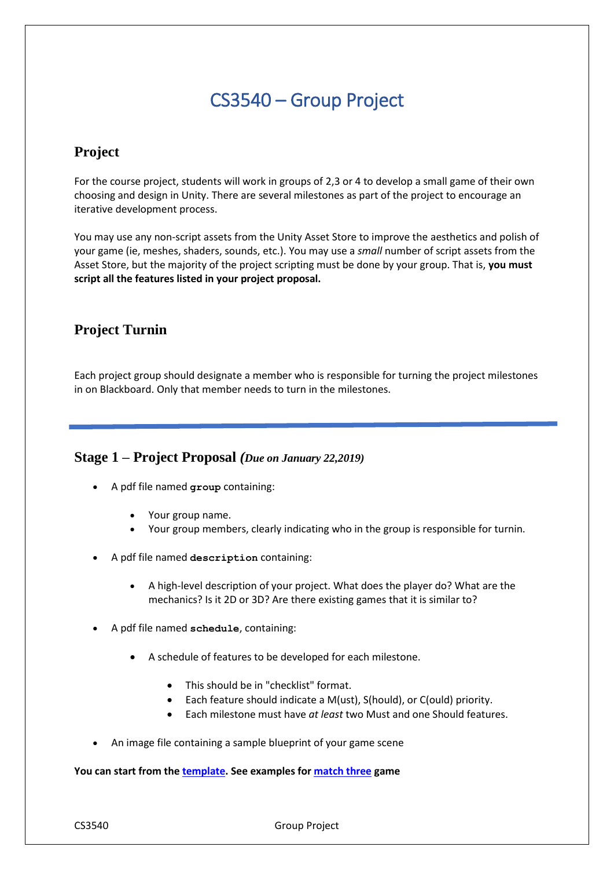# CS3540 – Group Project

## **Project**

For the course project, students will work in groups of 2,3 or 4 to develop a small game of their own choosing and design in Unity. There are several milestones as part of the project to encourage an iterative development process.

You may use any non-script assets from the Unity Asset Store to improve the aesthetics and polish of your game (ie, meshes, shaders, sounds, etc.). You may use a *small* number of script assets from the Asset Store, but the majority of the project scripting must be done by your group. That is, **you must script all the features listed in your project proposal.**

## **Project Turnin**

Each project group should designate a member who is responsible for turning the project milestones in on Blackboard. Only that member needs to turn in the milestones.

### **Stage 1 – Project Proposal** *(Due on January 22,2019)*

- A pdf file named **group** containing:
	- Your group name.
	- Your group members, clearly indicating who in the group is responsible for turnin.
- A pdf file named **description** containing:
	- A high-level description of your project. What does the player do? What are the mechanics? Is it 2D or 3D? Are there existing games that it is similar to?
- A pdf file named **schedule**, containing:
	- A schedule of features to be developed for each milestone.
		- This should be in "checklist" format.
		- Each feature should indicate a M(ust), S(hould), or C(ould) priority.
		- Each milestone must have *at least* two Must and one Should features.
- An image file containing a sample blueprint of your game scene

#### **You can start from the [template.](https://drive.google.com/open?id=1BU29amEgYYWFOFOcDsqsXThrQba-d5XMof56VAsFca8) See examples for [match three](https://drive.google.com/open?id=1pMs3J87LJzFcBs_OENGyyrDsSFDLoE0ZIBKJMyVPlys) game**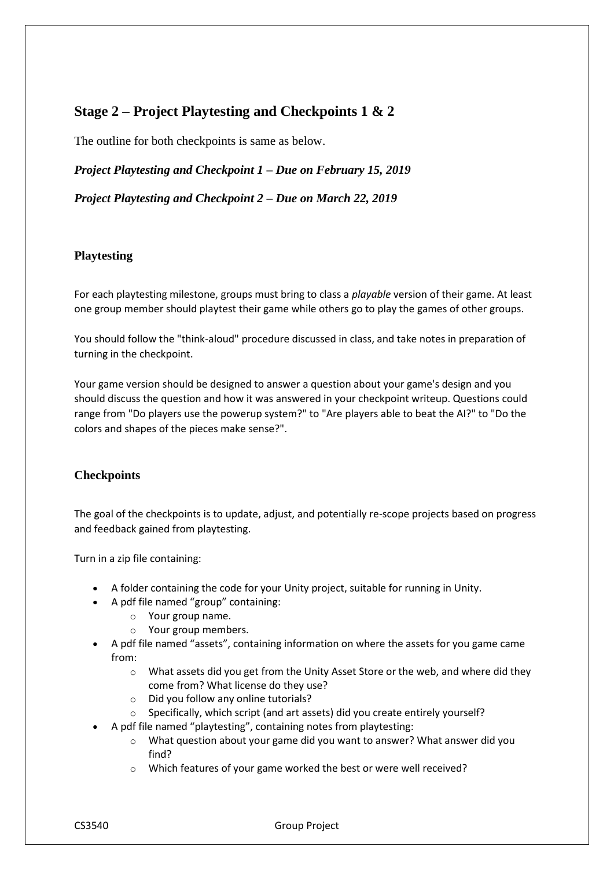## **Stage 2 – Project Playtesting and Checkpoints 1 & 2**

The outline for both checkpoints is same as below.

*Project Playtesting and Checkpoint 1 – Due on February 15, 2019*

*Project Playtesting and Checkpoint 2 – Due on March 22, 2019*

#### **Playtesting**

For each playtesting milestone, groups must bring to class a *playable* version of their game. At least one group member should playtest their game while others go to play the games of other groups.

You should follow the "think-aloud" procedure discussed in class, and take notes in preparation of turning in the checkpoint.

Your game version should be designed to answer a question about your game's design and you should discuss the question and how it was answered in your checkpoint writeup. Questions could range from "Do players use the powerup system?" to "Are players able to beat the AI?" to "Do the colors and shapes of the pieces make sense?".

#### **Checkpoints**

The goal of the checkpoints is to update, adjust, and potentially re-scope projects based on progress and feedback gained from playtesting.

Turn in a zip file containing:

- A folder containing the code for your Unity project, suitable for running in Unity.
- A pdf file named "group" containing:
	- o Your group name.
	- o Your group members.
- A pdf file named "assets", containing information on where the assets for you game came from:
	- $\circ$  What assets did you get from the Unity Asset Store or the web, and where did they come from? What license do they use?
	- o Did you follow any online tutorials?
	- o Specifically, which script (and art assets) did you create entirely yourself?
- A pdf file named "playtesting", containing notes from playtesting:
	- $\circ$  What question about your game did you want to answer? What answer did you find?
	- o Which features of your game worked the best or were well received?